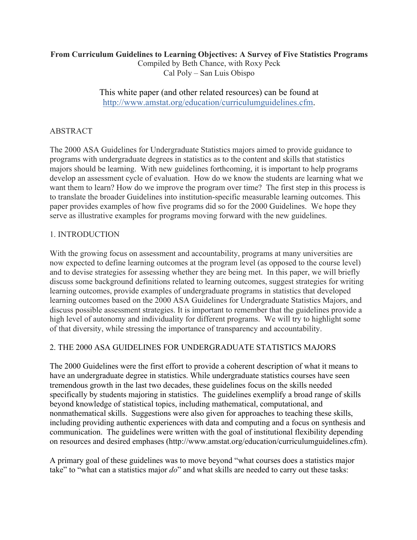### **From Curriculum Guidelines to Learning Objectives: A Survey of Five Statistics Programs**

Compiled by Beth Chance, with Roxy Peck Cal Poly – San Luis Obispo

This white paper (and other related resources) can be found at http://www.amstat.org/education/curriculumguidelines.cfm.

# ABSTRACT

The 2000 ASA Guidelines for Undergraduate Statistics majors aimed to provide guidance to programs with undergraduate degrees in statistics as to the content and skills that statistics majors should be learning. With new guidelines forthcoming, it is important to help programs develop an assessment cycle of evaluation. How do we know the students are learning what we want them to learn? How do we improve the program over time? The first step in this process is to translate the broader Guidelines into institution-specific measurable learning outcomes. This paper provides examples of how five programs did so for the 2000 Guidelines. We hope they serve as illustrative examples for programs moving forward with the new guidelines.

## 1. INTRODUCTION

With the growing focus on assessment and accountability, programs at many universities are now expected to define learning outcomes at the program level (as opposed to the course level) and to devise strategies for assessing whether they are being met. In this paper, we will briefly discuss some background definitions related to learning outcomes, suggest strategies for writing learning outcomes, provide examples of undergraduate programs in statistics that developed learning outcomes based on the 2000 ASA Guidelines for Undergraduate Statistics Majors, and discuss possible assessment strategies. It is important to remember that the guidelines provide a high level of autonomy and individuality for different programs. We will try to highlight some of that diversity, while stressing the importance of transparency and accountability.

## 2. THE 2000 ASA GUIDELINES FOR UNDERGRADUATE STATISTICS MAJORS

The 2000 Guidelines were the first effort to provide a coherent description of what it means to have an undergraduate degree in statistics. While undergraduate statistics courses have seen tremendous growth in the last two decades, these guidelines focus on the skills needed specifically by students majoring in statistics. The guidelines exemplify a broad range of skills beyond knowledge of statistical topics, including mathematical, computational, and nonmathematical skills. Suggestions were also given for approaches to teaching these skills, including providing authentic experiences with data and computing and a focus on synthesis and communication. The guidelines were written with the goal of institutional flexibility depending on resources and desired emphases (http://www.amstat.org/education/curriculumguidelines.cfm).

A primary goal of these guidelines was to move beyond "what courses does a statistics major take" to "what can a statistics major *do*" and what skills are needed to carry out these tasks: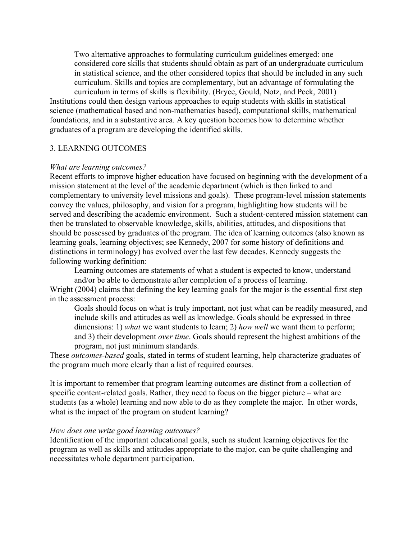Two alternative approaches to formulating curriculum guidelines emerged: one considered core skills that students should obtain as part of an undergraduate curriculum in statistical science, and the other considered topics that should be included in any such curriculum. Skills and topics are complementary, but an advantage of formulating the

curriculum in terms of skills is flexibility. (Bryce, Gould, Notz, and Peck, 2001) Institutions could then design various approaches to equip students with skills in statistical science (mathematical based and non-mathematics based), computational skills, mathematical foundations, and in a substantive area. A key question becomes how to determine whether graduates of a program are developing the identified skills.

#### 3. LEARNING OUTCOMES

#### *What are learning outcomes?*

Recent efforts to improve higher education have focused on beginning with the development of a mission statement at the level of the academic department (which is then linked to and complementary to university level missions and goals). These program-level mission statements convey the values, philosophy, and vision for a program, highlighting how students will be served and describing the academic environment. Such a student-centered mission statement can then be translated to observable knowledge, skills, abilities, attitudes, and dispositions that should be possessed by graduates of the program. The idea of learning outcomes (also known as learning goals, learning objectives; see Kennedy, 2007 for some history of definitions and distinctions in terminology) has evolved over the last few decades. Kennedy suggests the following working definition:

Learning outcomes are statements of what a student is expected to know, understand and/or be able to demonstrate after completion of a process of learning.

Wright (2004) claims that defining the key learning goals for the major is the essential first step in the assessment process:

Goals should focus on what is truly important, not just what can be readily measured, and include skills and attitudes as well as knowledge. Goals should be expressed in three dimensions: 1) *what* we want students to learn; 2) *how well* we want them to perform; and 3) their development *over time*. Goals should represent the highest ambitions of the program, not just minimum standards.

These *outcomes-based* goals, stated in terms of student learning, help characterize graduates of the program much more clearly than a list of required courses.

It is important to remember that program learning outcomes are distinct from a collection of specific content-related goals. Rather, they need to focus on the bigger picture – what are students (as a whole) learning and now able to do as they complete the major. In other words, what is the impact of the program on student learning?

#### *How does one write good learning outcomes?*

Identification of the important educational goals, such as student learning objectives for the program as well as skills and attitudes appropriate to the major, can be quite challenging and necessitates whole department participation.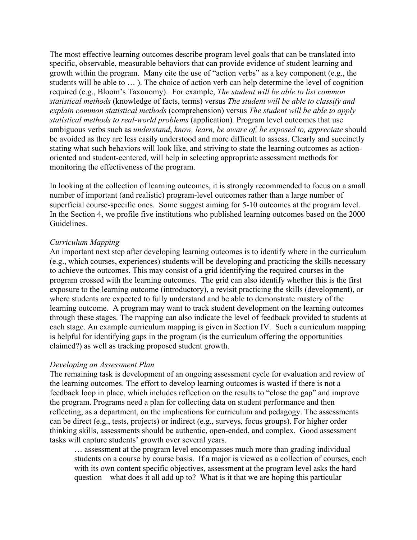The most effective learning outcomes describe program level goals that can be translated into specific, observable, measurable behaviors that can provide evidence of student learning and growth within the program. Many cite the use of "action verbs" as a key component (e.g., the students will be able to … ). The choice of action verb can help determine the level of cognition required (e.g., Bloom's Taxonomy). For example, *The student will be able to list common statistical methods* (knowledge of facts, terms) versus *The student will be able to classify and explain common statistical methods* (comprehension) versus *The student will be able to apply statistical methods to real-world problems* (application)*.* Program level outcomes that use ambiguous verbs such as *understand*, *know, learn, be aware of, be exposed to, appreciate* should be avoided as they are less easily understood and more difficult to assess. Clearly and succinctly stating what such behaviors will look like, and striving to state the learning outcomes as actionoriented and student-centered, will help in selecting appropriate assessment methods for monitoring the effectiveness of the program.

In looking at the collection of learning outcomes, it is strongly recommended to focus on a small number of important (and realistic) program-level outcomes rather than a large number of superficial course-specific ones. Some suggest aiming for 5-10 outcomes at the program level. In the Section 4, we profile five institutions who published learning outcomes based on the 2000 Guidelines.

### *Curriculum Mapping*

An important next step after developing learning outcomes is to identify where in the curriculum (e.g., which courses, experiences) students will be developing and practicing the skills necessary to achieve the outcomes. This may consist of a grid identifying the required courses in the program crossed with the learning outcomes. The grid can also identify whether this is the first exposure to the learning outcome (introductory), a revisit practicing the skills (development), or where students are expected to fully understand and be able to demonstrate mastery of the learning outcome. A program may want to track student development on the learning outcomes through these stages. The mapping can also indicate the level of feedback provided to students at each stage. An example curriculum mapping is given in Section IV. Such a curriculum mapping is helpful for identifying gaps in the program (is the curriculum offering the opportunities claimed?) as well as tracking proposed student growth.

#### *Developing an Assessment Plan*

The remaining task is development of an ongoing assessment cycle for evaluation and review of the learning outcomes. The effort to develop learning outcomes is wasted if there is not a feedback loop in place, which includes reflection on the results to "close the gap" and improve the program. Programs need a plan for collecting data on student performance and then reflecting, as a department, on the implications for curriculum and pedagogy. The assessments can be direct (e.g., tests, projects) or indirect (e.g., surveys, focus groups). For higher order thinking skills, assessments should be authentic, open-ended, and complex. Good assessment tasks will capture students' growth over several years.

… assessment at the program level encompasses much more than grading individual students on a course by course basis. If a major is viewed as a collection of courses, each with its own content specific objectives, assessment at the program level asks the hard question—what does it all add up to? What is it that we are hoping this particular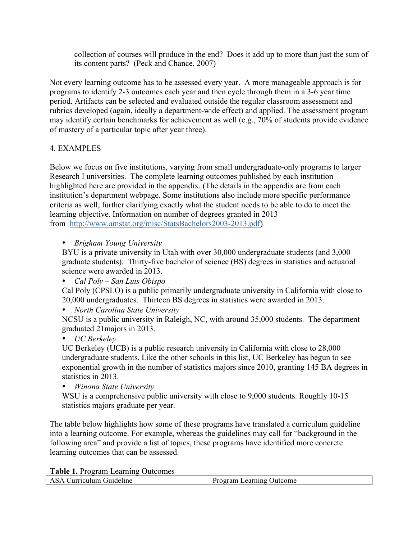collection of courses will produce in the end? Does it add up to more than just the sum of its content parts? (Peck and Chance, 2007)

Not every learning outcome has to be assessed every year. A more manageable approach is for programs to identify 2-3 outcomes each year and then cycle through them in a 3-6 year time period. Artifacts can be selected and evaluated outside the regular classroom assessment and rubrics developed (again, ideally a department-wide effect) and applied. The assessment program may identify certain benchmarks for achievement as well (e.g., 70% of students provide evidence of mastery of a particular topic after year three).

# 4. EXAMPLES

Below we focus on five institutions, varying from small undergraduate-only programs to larger Research I universities. The complete learning outcomes published by each institution highlighted here are provided in the appendix. (The details in the appendix are from each institution's department webpage. Some institutions also include more specific performance criteria as well, further clarifying exactly what the student needs to be able to do to meet the learning objective. Information on number of degrees granted in 2013 from http://www.amstat.org/misc/StatsBachelors2003-2013.pdf)

• *Brigham Young University*

BYU is a private university in Utah with over 30,000 undergraduate students (and 3,000 graduate students). Thirty-five bachelor of science (BS) degrees in statistics and actuarial science were awarded in 2013.

• *Cal Poly – San Luis Obispo*

Cal Poly (CPSLO) is a public primarily undergraduate university in California with close to 20,000 undergraduates. Thirteen BS degrees in statistics were awarded in 2013.

• *North Carolina State University*

NCSU is a public university in Raleigh, NC, with around 35,000 students. The department graduated 21majors in 2013.

• *UC Berkeley*

UC Berkeley (UCB) is a public research university in California with close to 28,000 undergraduate students. Like the other schools in this list, UC Berkeley has begun to see exponential growth in the number of statistics majors since 2010, granting 145 BA degrees in statistics in 2013.

• *Winona State University*

WSU is a comprehensive public university with close to 9,000 students. Roughly 10-15 statistics majors graduate per year.

The table below highlights how some of these programs have translated a curriculum guideline into a learning outcome. For example, whereas the guidelines may call for "background in the following area" and provide a list of topics, these programs have identified more concrete learning outcomes that can be assessed.

**Table 1.** Program Learning Outcomes

| ASA Curriculum Guideline | Program Learning Outcome |
|--------------------------|--------------------------|
|                          |                          |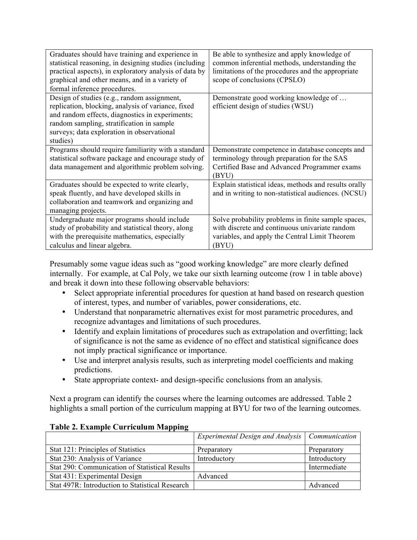| Graduates should have training and experience in<br>statistical reasoning, in designing studies (including | Be able to synthesize and apply knowledge of<br>common inferential methods, understanding the |
|------------------------------------------------------------------------------------------------------------|-----------------------------------------------------------------------------------------------|
| practical aspects), in exploratory analysis of data by                                                     | limitations of the procedures and the appropriate                                             |
| graphical and other means, and in a variety of                                                             | scope of conclusions (CPSLO)                                                                  |
| formal inference procedures.                                                                               |                                                                                               |
| Design of studies (e.g., random assignment,                                                                | Demonstrate good working knowledge of                                                         |
| replication, blocking, analysis of variance, fixed                                                         | efficient design of studies (WSU)                                                             |
| and random effects, diagnostics in experiments;                                                            |                                                                                               |
| random sampling, stratification in sample                                                                  |                                                                                               |
| surveys; data exploration in observational                                                                 |                                                                                               |
| studies)                                                                                                   |                                                                                               |
| Programs should require familiarity with a standard                                                        | Demonstrate competence in database concepts and                                               |
| statistical software package and encourage study of                                                        | terminology through preparation for the SAS                                                   |
| data management and algorithmic problem solving.                                                           | Certified Base and Advanced Programmer exams                                                  |
|                                                                                                            | (BYU)                                                                                         |
| Graduates should be expected to write clearly,                                                             | Explain statistical ideas, methods and results orally                                         |
| speak fluently, and have developed skills in                                                               | and in writing to non-statistical audiences. (NCSU)                                           |
| collaboration and teamwork and organizing and                                                              |                                                                                               |
| managing projects.                                                                                         |                                                                                               |
| Undergraduate major programs should include                                                                | Solve probability problems in finite sample spaces,                                           |
| study of probability and statistical theory, along                                                         | with discrete and continuous univariate random                                                |
| with the prerequisite mathematics, especially                                                              | variables, and apply the Central Limit Theorem                                                |
| calculus and linear algebra.                                                                               | (BYU)                                                                                         |

Presumably some vague ideas such as "good working knowledge" are more clearly defined internally. For example, at Cal Poly, we take our sixth learning outcome (row 1 in table above) and break it down into these following observable behaviors:

- Select appropriate inferential procedures for question at hand based on research question of interest, types, and number of variables, power considerations, etc.
- Understand that nonparametric alternatives exist for most parametric procedures, and recognize advantages and limitations of such procedures.
- Identify and explain limitations of procedures such as extrapolation and overfitting; lack of significance is not the same as evidence of no effect and statistical significance does not imply practical significance or importance.
- Use and interpret analysis results, such as interpreting model coefficients and making predictions.
- State appropriate context- and design-specific conclusions from an analysis.

Next a program can identify the courses where the learning outcomes are addressed. Table 2 highlights a small portion of the curriculum mapping at BYU for two of the learning outcomes.

|                                                 | Experimental Design and Analysis   Communication |              |
|-------------------------------------------------|--------------------------------------------------|--------------|
| Stat 121: Principles of Statistics              | Preparatory                                      | Preparatory  |
| Stat 230: Analysis of Variance                  | Introductory                                     | Introductory |
| Stat 290: Communication of Statistical Results  |                                                  | Intermediate |
| Stat 431: Experimental Design                   | Advanced                                         |              |
| Stat 497R: Introduction to Statistical Research |                                                  | Advanced     |

### **Table 2. Example Curriculum Mapping**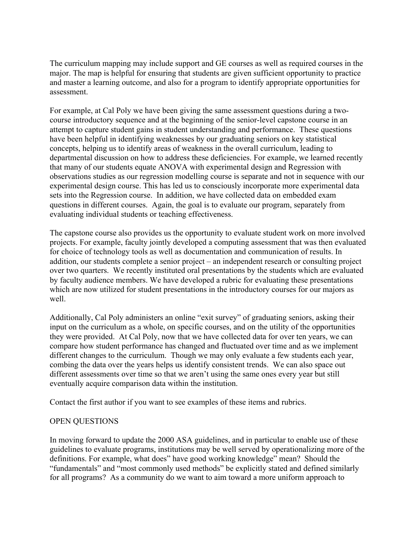The curriculum mapping may include support and GE courses as well as required courses in the major. The map is helpful for ensuring that students are given sufficient opportunity to practice and master a learning outcome, and also for a program to identify appropriate opportunities for assessment.

For example, at Cal Poly we have been giving the same assessment questions during a twocourse introductory sequence and at the beginning of the senior-level capstone course in an attempt to capture student gains in student understanding and performance. These questions have been helpful in identifying weaknesses by our graduating seniors on key statistical concepts, helping us to identify areas of weakness in the overall curriculum, leading to departmental discussion on how to address these deficiencies. For example, we learned recently that many of our students equate ANOVA with experimental design and Regression with observations studies as our regression modelling course is separate and not in sequence with our experimental design course. This has led us to consciously incorporate more experimental data sets into the Regression course. In addition, we have collected data on embedded exam questions in different courses. Again, the goal is to evaluate our program, separately from evaluating individual students or teaching effectiveness.

The capstone course also provides us the opportunity to evaluate student work on more involved projects. For example, faculty jointly developed a computing assessment that was then evaluated for choice of technology tools as well as documentation and communication of results. In addition, our students complete a senior project – an independent research or consulting project over two quarters. We recently instituted oral presentations by the students which are evaluated by faculty audience members. We have developed a rubric for evaluating these presentations which are now utilized for student presentations in the introductory courses for our majors as well.

Additionally, Cal Poly administers an online "exit survey" of graduating seniors, asking their input on the curriculum as a whole, on specific courses, and on the utility of the opportunities they were provided. At Cal Poly, now that we have collected data for over ten years, we can compare how student performance has changed and fluctuated over time and as we implement different changes to the curriculum. Though we may only evaluate a few students each year, combing the data over the years helps us identify consistent trends. We can also space out different assessments over time so that we aren't using the same ones every year but still eventually acquire comparison data within the institution.

Contact the first author if you want to see examples of these items and rubrics.

## OPEN QUESTIONS

In moving forward to update the 2000 ASA guidelines, and in particular to enable use of these guidelines to evaluate programs, institutions may be well served by operationalizing more of the definitions. For example, what does" have good working knowledge" mean? Should the "fundamentals" and "most commonly used methods" be explicitly stated and defined similarly for all programs? As a community do we want to aim toward a more uniform approach to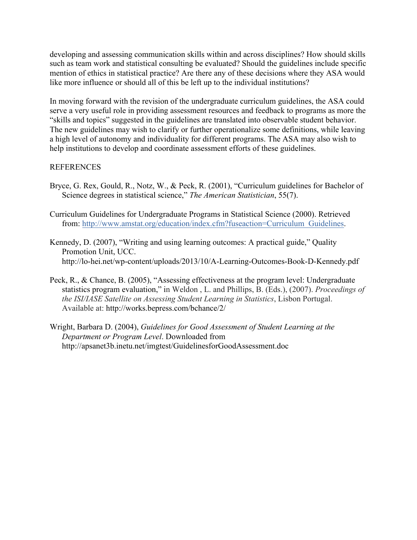developing and assessing communication skills within and across disciplines? How should skills such as team work and statistical consulting be evaluated? Should the guidelines include specific mention of ethics in statistical practice? Are there any of these decisions where they ASA would like more influence or should all of this be left up to the individual institutions?

In moving forward with the revision of the undergraduate curriculum guidelines, the ASA could serve a very useful role in providing assessment resources and feedback to programs as more the "skills and topics" suggested in the guidelines are translated into observable student behavior. The new guidelines may wish to clarify or further operationalize some definitions, while leaving a high level of autonomy and individuality for different programs. The ASA may also wish to help institutions to develop and coordinate assessment efforts of these guidelines.

### REFERENCES

- Bryce, G. Rex, Gould, R., Notz, W., & Peck, R. (2001), "Curriculum guidelines for Bachelor of Science degrees in statistical science," *The American Statistician*, 55(7).
- Curriculum Guidelines for Undergraduate Programs in Statistical Science (2000). Retrieved from: http://www.amstat.org/education/index.cfm?fuseaction=Curriculum\_Guidelines.
- Kennedy, D. (2007), "Writing and using learning outcomes: A practical guide," Quality Promotion Unit, UCC. http://lo-hei.net/wp-content/uploads/2013/10/A-Learning-Outcomes-Book-D-Kennedy.pdf
- Peck, R., & Chance, B. (2005), "Assessing effectiveness at the program level: Undergraduate statistics program evaluation," in Weldon , L. and Phillips, B. (Eds.), (2007). *Proceedings of the ISI/IASE Satellite on Assessing Student Learning in Statistics*, Lisbon Portugal. Available at: http://works.bepress.com/bchance/2/
- Wright, Barbara D. (2004), *Guidelines for Good Assessment of Student Learning at the Department or Program Level*. Downloaded from http://apsanet3b.inetu.net/imgtest/GuidelinesforGoodAssessment.doc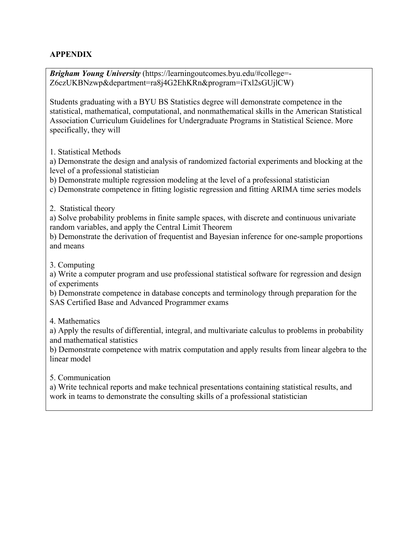# **APPENDIX**

*Brigham Young University* (https://learningoutcomes.byu.edu/#college=- Z6czUKBNzwp&department=ra8j4G2EhKRn&program=iTxl2sGUjlCW)

Students graduating with a BYU BS Statistics degree will demonstrate competence in the statistical, mathematical, computational, and nonmathematical skills in the American Statistical Association Curriculum Guidelines for Undergraduate Programs in Statistical Science. More specifically, they will

1. Statistical Methods

a) Demonstrate the design and analysis of randomized factorial experiments and blocking at the level of a professional statistician

b) Demonstrate multiple regression modeling at the level of a professional statistician

c) Demonstrate competence in fitting logistic regression and fitting ARIMA time series models

2. Statistical theory

a) Solve probability problems in finite sample spaces, with discrete and continuous univariate random variables, and apply the Central Limit Theorem

b) Demonstrate the derivation of frequentist and Bayesian inference for one-sample proportions and means

3. Computing

a) Write a computer program and use professional statistical software for regression and design of experiments

b) Demonstrate competence in database concepts and terminology through preparation for the SAS Certified Base and Advanced Programmer exams

4. Mathematics

a) Apply the results of differential, integral, and multivariate calculus to problems in probability and mathematical statistics

b) Demonstrate competence with matrix computation and apply results from linear algebra to the linear model

5. Communication

a) Write technical reports and make technical presentations containing statistical results, and work in teams to demonstrate the consulting skills of a professional statistician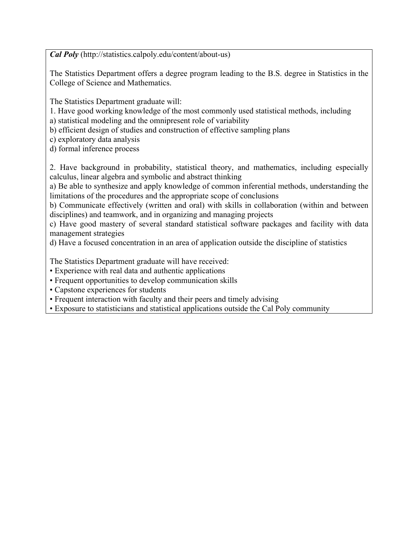*Cal Poly* (http://statistics.calpoly.edu/content/about-us)

The Statistics Department offers a degree program leading to the B.S. degree in Statistics in the College of Science and Mathematics.

The Statistics Department graduate will:

1. Have good working knowledge of the most commonly used statistical methods, including

a) statistical modeling and the omnipresent role of variability

b) efficient design of studies and construction of effective sampling plans

c) exploratory data analysis

d) formal inference process

2. Have background in probability, statistical theory, and mathematics, including especially calculus, linear algebra and symbolic and abstract thinking

a) Be able to synthesize and apply knowledge of common inferential methods, understanding the limitations of the procedures and the appropriate scope of conclusions

b) Communicate effectively (written and oral) with skills in collaboration (within and between disciplines) and teamwork, and in organizing and managing projects

c) Have good mastery of several standard statistical software packages and facility with data management strategies

d) Have a focused concentration in an area of application outside the discipline of statistics

The Statistics Department graduate will have received:

- Experience with real data and authentic applications
- Frequent opportunities to develop communication skills
- Capstone experiences for students
- Frequent interaction with faculty and their peers and timely advising
- Exposure to statisticians and statistical applications outside the Cal Poly community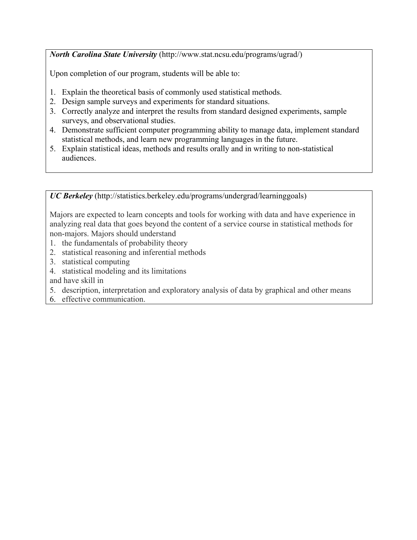*North Carolina State University* (http://www.stat.ncsu.edu/programs/ugrad/)

Upon completion of our program, students will be able to:

- 1. Explain the theoretical basis of commonly used statistical methods.
- 2. Design sample surveys and experiments for standard situations.
- 3. Correctly analyze and interpret the results from standard designed experiments, sample surveys, and observational studies.
- 4. Demonstrate sufficient computer programming ability to manage data, implement standard statistical methods, and learn new programming languages in the future.
- 5. Explain statistical ideas, methods and results orally and in writing to non-statistical audiences.

*UC Berkeley* (http://statistics.berkeley.edu/programs/undergrad/learninggoals)

Majors are expected to learn concepts and tools for working with data and have experience in analyzing real data that goes beyond the content of a service course in statistical methods for non-majors. Majors should understand

- 1. the fundamentals of probability theory
- 2. statistical reasoning and inferential methods
- 3. statistical computing
- 4. statistical modeling and its limitations

and have skill in

- 5. description, interpretation and exploratory analysis of data by graphical and other means
- 6. effective communication.